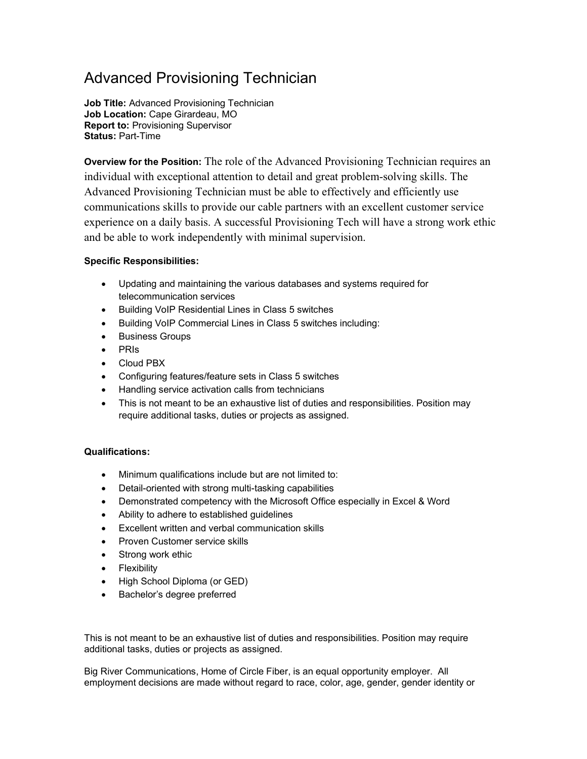## Advanced Provisioning Technician

Job Title: Advanced Provisioning Technician Job Location: Cape Girardeau, MO Report to: Provisioning Supervisor Status: Part-Time

Overview for the Position: The role of the Advanced Provisioning Technician requires an individual with exceptional attention to detail and great problem-solving skills. The Advanced Provisioning Technician must be able to effectively and efficiently use communications skills to provide our cable partners with an excellent customer service experience on a daily basis. A successful Provisioning Tech will have a strong work ethic and be able to work independently with minimal supervision.

## Specific Responsibilities:

- Updating and maintaining the various databases and systems required for telecommunication services
- **•** Building VoIP Residential Lines in Class 5 switches
- Building VoIP Commercial Lines in Class 5 switches including:
- **•** Business Groups
- PRIs
- Cloud PBX
- Configuring features/feature sets in Class 5 switches
- Handling service activation calls from technicians
- This is not meant to be an exhaustive list of duties and responsibilities. Position may require additional tasks, duties or projects as assigned.

## Qualifications:

- Minimum qualifications include but are not limited to:
- Detail-oriented with strong multi-tasking capabilities
- Demonstrated competency with the Microsoft Office especially in Excel & Word
- Ability to adhere to established guidelines
- Excellent written and verbal communication skills
- Proven Customer service skills
- Strong work ethic
- Flexibility
- High School Diploma (or GED)
- Bachelor's degree preferred

This is not meant to be an exhaustive list of duties and responsibilities. Position may require additional tasks, duties or projects as assigned.

Big River Communications, Home of Circle Fiber, is an equal opportunity employer. All employment decisions are made without regard to race, color, age, gender, gender identity or